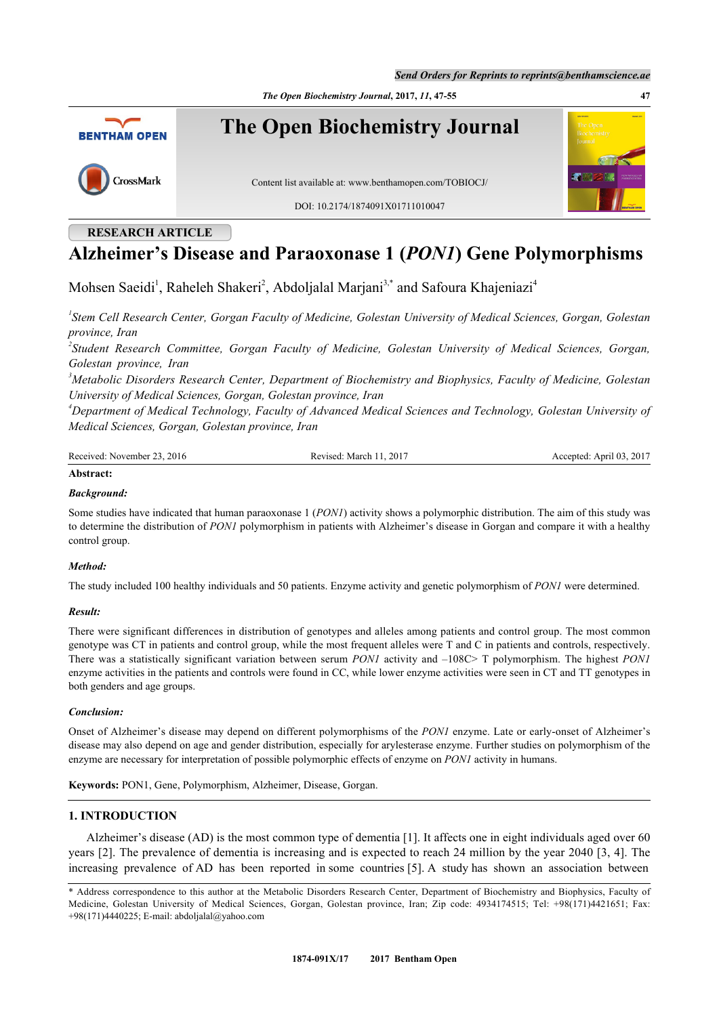*The Open Biochemistry Journal***, 2017,** *11***, 47-55 47**



# **RESEARCH ARTICLE**

# **Alzheimer's Disease and Paraoxonase 1 (***PON1***) Gene Polymorphisms**

Mohsen Saeidi<sup>[1](#page-0-0)</sup>, Raheleh Shakeri<sup>[2](#page-0-1)</sup>, Abdoljalal Marjani<sup>[3,](#page-0-1)[\\*](#page-0-2)</sup> and Safoura Khajeniazi<sup>[4](#page-0-3)</sup>

<span id="page-0-0"></span>*1 Stem Cell Research Center, Gorgan Faculty of Medicine, Golestan University of Medical Sciences, Gorgan, Golestan province, Iran*

<span id="page-0-1"></span>*2 Student Research Committee, Gorgan Faculty of Medicine, Golestan University of Medical Sciences, Gorgan, Golestan province, Iran*

*<sup>3</sup>Metabolic Disorders Research Center, Department of Biochemistry and Biophysics, Faculty of Medicine, Golestan University of Medical Sciences, Gorgan, Golestan province, Iran*

<span id="page-0-3"></span>*<sup>4</sup>Department of Medical Technology, Faculty of Advanced Medical Sciences and Technology, Golestan University of Medical Sciences, Gorgan, Golestan province, Iran*

| Received: November 23.<br>2016<br>$.201$ <sup>-</sup><br>March<br>Revised | .2017<br>April 03.<br>Accepted: |
|---------------------------------------------------------------------------|---------------------------------|
|---------------------------------------------------------------------------|---------------------------------|

### **Abstract:**

### *Background:*

Some studies have indicated that human paraoxonase 1 (*PON1*) activity shows a polymorphic distribution. The aim of this study was to determine the distribution of *PON1* polymorphism in patients with Alzheimer's disease in Gorgan and compare it with a healthy control group.

#### *Method:*

The study included 100 healthy individuals and 50 patients. Enzyme activity and genetic polymorphism of *PON1* were determined.

# *Result:*

There were significant differences in distribution of genotypes and alleles among patients and control group. The most common genotype was CT in patients and control group, while the most frequent alleles were T and C in patients and controls, respectively. There was a statistically significant variation between serum *PON1* activity and –108C> T polymorphism. The highest *PON1* enzyme activities in the patients and controls were found in CC, while lower enzyme activities were seen in CT and TT genotypes in both genders and age groups.

# *Conclusion:*

Onset of Alzheimer's disease may depend on different polymorphisms of the *PON1* enzyme. Late or early-onset of Alzheimer's disease may also depend on age and gender distribution, especially for arylesterase enzyme. Further studies on polymorphism of the enzyme are necessary for interpretation of possible polymorphic effects of enzyme on *PON1* activity in humans.

**Keywords:** PON1, Gene, Polymorphism, Alzheimer, Disease, Gorgan.

# **1. INTRODUCTION**

Alzheimer's disease (AD) is the most common type of dementia [\[1](#page-5-0)]. It affects one in eight individuals aged over 60 years [[2\]](#page-5-1). The prevalence of dementia is increasing and is expected to reach 24 million by the year 2040 [[3](#page-5-2), [4\]](#page-5-3). The increasing prevalence of AD has been reported in some countries [[5\]](#page-5-4). A study has shown an association between

<span id="page-0-2"></span><sup>\*</sup> Address correspondence to this author at the Metabolic Disorders Research Center, Department of Biochemistry and Biophysics, Faculty of Medicine, Golestan University of Medical Sciences, Gorgan, Golestan province, Iran; Zip code: 4934174515; Tel: +98(171)4421651; Fax: +98(171)4440225; E-mail: [abdoljalal@yahoo.com](mailto:abdoljalal@yahoo.com)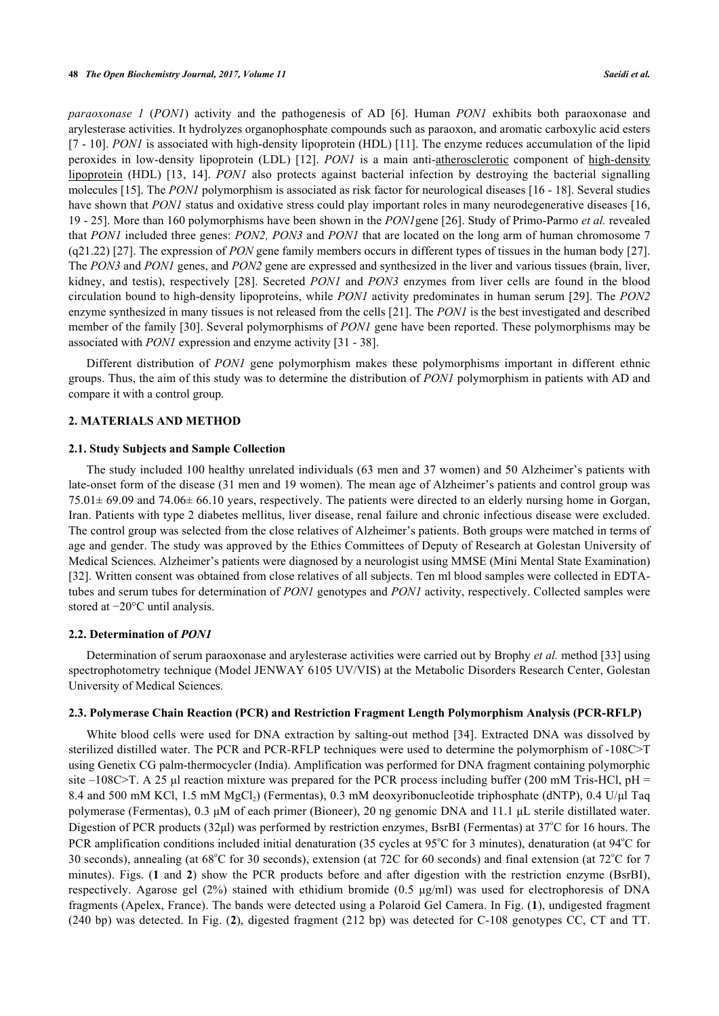*paraoxonase 1* (*PON1*) activity and the pathogenesis of AD [\[6](#page-5-5)]. Human *PON1* exhibits both paraoxonase and arylesterase activities. It hydrolyzes organophosphate compounds such as paraoxon, and aromatic carboxylic acid esters [\[7](#page-5-6) - [10](#page-6-0)]. *PON1* is associated with high-density lipoprotein (HDL) [[11\]](#page-6-1). The enzyme reduces accumulation of the lipid peroxides in low-density lipoprotein (LDL) [\[12](#page-6-2)]. *PON1* is a main anti-atherosclerotic component of high-density lipoprotein (HDL) [\[13,](#page-6-3) [14\]](#page-6-4). *PON1* also protects against bacterial infection by destroying the bacterial signalling molecules [\[15](#page-6-5)]. The *PON1* polymorphism is associated as risk factor for neurological diseases [\[16](#page-6-6) - [18\]](#page-6-7). Several studies have shown that *PON1* status and oxidative stress could play important roles in many neurodegenerative diseases [[16](#page-6-6), [19](#page-6-8) - [25](#page-6-9)]. More than 160 polymorphisms have been shown in the *PON1*gene [[26](#page-6-10)]. Study of Primo-Parmo *et al.* revealed that *PON1* included three genes: *PON2, PON3* and *PON1* that are located on the long arm of human chromosome 7 (q21.22) [[27\]](#page-6-11). The expression of *PON* gene family members occurs in different types of tissues in the human body [[27\]](#page-6-11). The *PON3* and *PON1* genes, and *PON2* gene are expressed and synthesized in the liver and various tissues (brain, liver, kidney, and testis), respectively[[28\]](#page-6-12). Secreted *PON1* and *PON3* enzymes from liver cells are found in the blood circulation bound to high-density lipoproteins, while *PON1* activity predominates in human serum [[29\]](#page-6-13). The *PON2* enzyme synthesized in many tissues is not released from the cells [\[21](#page-6-14)]. The *PON1* is the best investigated and described member of the family [\[30](#page-7-0)]. Several polymorphisms of *PON1* gene have been reported. These polymorphisms may be associated with *PON1* expression and enzyme activity [[31](#page-7-1) - [38](#page-7-2)].

Different distribution of *PON1* gene polymorphism makes these polymorphisms important in different ethnic groups. Thus, the aim of this study was to determine the distribution of *PON1* polymorphism in patients with AD and compare it with a control group.

#### **2. MATERIALS AND METHOD**

#### **2.1. Study Subjects and Sample Collection**

The study included 100 healthy unrelated individuals (63 men and 37 women) and 50 Alzheimer's patients with late-onset form of the disease (31 men and 19 women). The mean age of Alzheimer's patients and control group was 75.01± 69.09 and 74.06± 66.10 years, respectively. The patients were directed to an elderly nursing home in Gorgan, Iran. Patients with type 2 diabetes mellitus, liver disease, renal failure and chronic infectious disease were excluded. The control group was selected from the close relatives of Alzheimer's patients. Both groups were matched in terms of age and gender. The study was approved by the Ethics Committees of Deputy of Research at Golestan University of Medical Sciences. Alzheimer's patients were diagnosed by a neurologist using MMSE (Mini Mental State Examination) [\[32](#page-7-3)]. Written consent was obtained from close relatives of all subjects. Ten ml blood samples were collected in EDTAtubes and serum tubes for determination of *PON1* genotypes and *PON1* activity, respectively. Collected samples were stored at −20°C until analysis.

#### **2.2. Determination of** *PON1*

Determination of serum paraoxonase and arylesterase activities were carried out by Brophy *et al.* method [[33\]](#page-7-4) using spectrophotometry technique (Model JENWAY 6105 UV/VIS) at the Metabolic Disorders Research Center, Golestan University of Medical Sciences.

#### **2.3. Polymerase Chain Reaction (PCR) and Restriction Fragment Length Polymorphism Analysis (PCR-RFLP)**

White blood cells were used for DNA extraction by salting-out method [[34](#page-7-5)]. Extracted DNA was dissolved by sterilized distilled water. The PCR and PCR-RFLP techniques were used to determine the polymorphism of -108C>T using Genetix CG palm-thermocycler (India). Amplification was performed for DNA fragment containing polymorphic site –108C>T. A 25 µl reaction mixture was prepared for the PCR process including buffer (200 mM Tris-HCl, pH = 8.4 and 500 mM KCl, 1.5 mM MgCl<sub>2</sub>) (Fermentas), 0.3 mM deoxyribonucleotide triphosphate (dNTP), 0.4 U/μl Taq polymerase (Fermentas), 0.3 μM of each primer (Bioneer), 20 ng genomic DNA and 11.1 μL sterile distillated water. Digestion of PCR products (32 $\mu$ l) was performed by restriction enzymes, BsrBI (Fermentas) at 37°C for 16 hours. The PCR amplification conditions included initial denaturation (35 cycles at  $95^{\circ}$ C for 3 minutes), denaturation (at  $94^{\circ}$ C for 30 seconds), annealing (at  $68^{\circ}$ C for 30 seconds), extension (at 72C for 60 seconds) and final extension (at  $72^{\circ}$ C for 7 minutes). Figs. (**[1](#page-2-0)** and**2**) show the PCR products before and after digestion with the restriction enzyme (BsrBI), respectively. Agarose gel (2%) stained with ethidium bromide (0.5 μg/ml) was used for electrophoresis of DNA fragments (Apelex, France). The bands were detected using a Polaroid Gel Camera. In Fig. (**[1](#page-2-0)**), undigested fragment (240 bp) was detected. In Fig. (**[2](#page-2-1)**), digested fragment (212 bp) was detected for C-108 genotypes CC, CT and TT.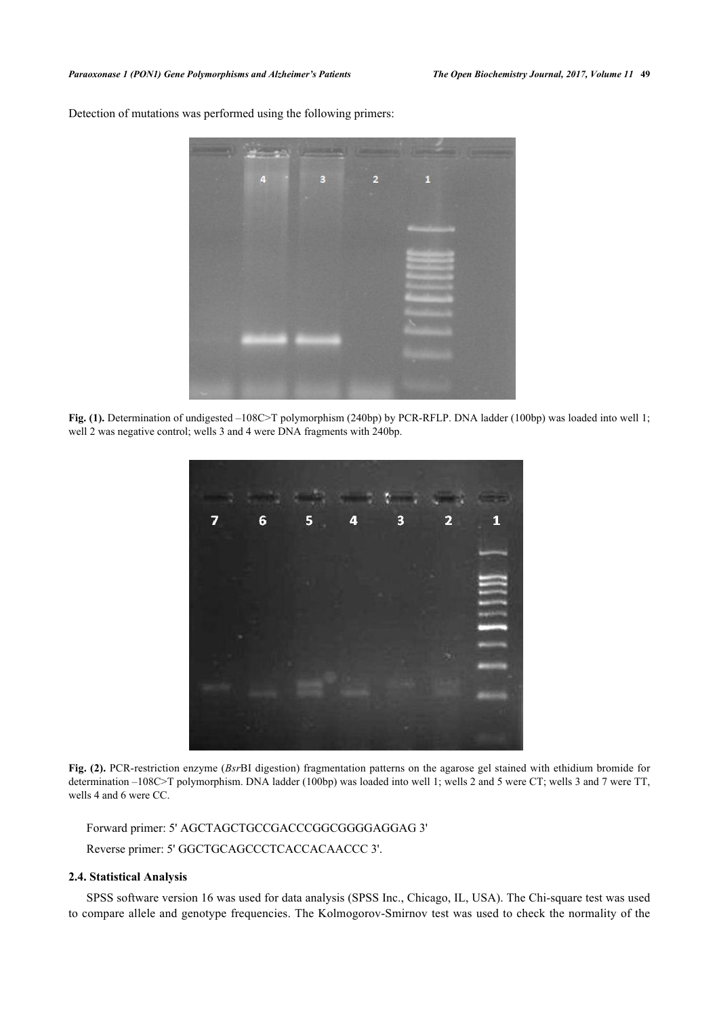Detection of mutations was performed using the following primers:

<span id="page-2-0"></span>

**Fig. (1).** Determination of undigested –108C>T polymorphism (240bp) by PCR-RFLP. DNA ladder (100bp) was loaded into well 1; well 2 was negative control; wells 3 and 4 were DNA fragments with 240bp.

<span id="page-2-1"></span>

**Fig. (2).** PCR-restriction enzyme (*Bsr*BI digestion) fragmentation patterns on the agarose gel stained with ethidium bromide for determination –108C>T polymorphism. DNA ladder (100bp) was loaded into well 1; wells 2 and 5 were CT; wells 3 and 7 were TT, wells 4 and 6 were CC.

Forward primer: 5' AGCTAGCTGCCGACCCGGCGGGGAGGAG 3' Reverse primer: 5' GGCTGCAGCCCTCACCACAACCC 3'.

## **2.4. Statistical Analysis**

SPSS software version 16 was used for data analysis (SPSS Inc., Chicago, IL, USA). The Chi-square test was used to compare allele and genotype frequencies. The Kolmogorov-Smirnov test was used to check the normality of the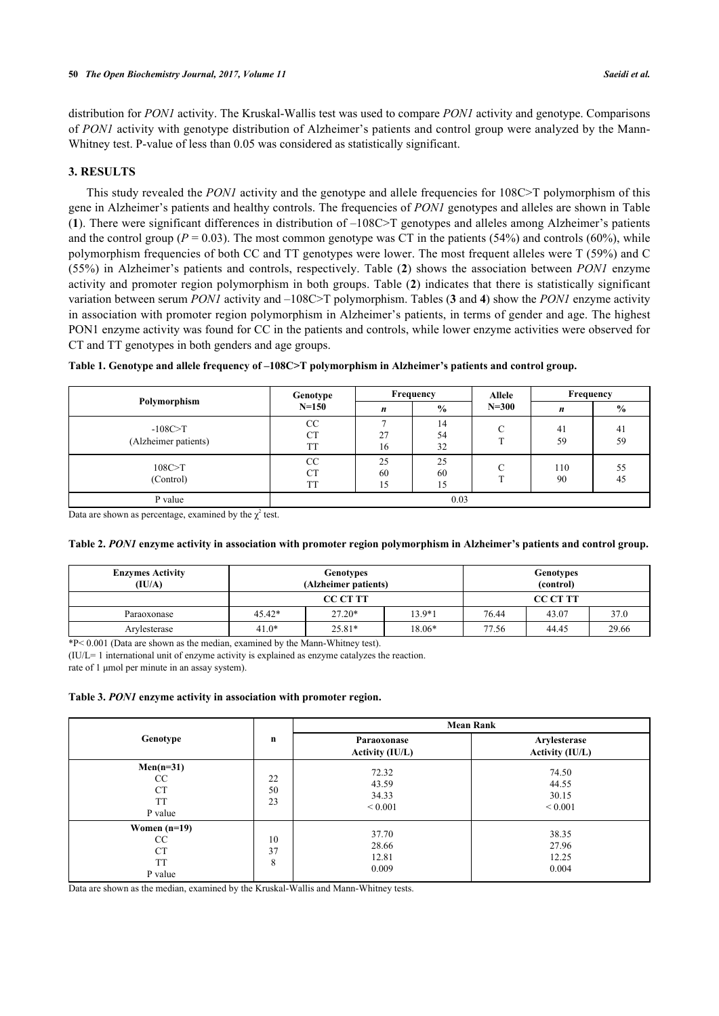distribution for *PON1* activity. The Kruskal-Wallis test was used to compare *PON1* activity and genotype. Comparisons of *PON1* activity with genotype distribution of Alzheimer's patients and control group were analyzed by the Mann-Whitney test. P-value of less than 0.05 was considered as statistically significant.

#### **3. RESULTS**

This study revealed the *PON1* activity and the genotype and allele frequencies for 108C>T polymorphism of this gene in Alzheimer's patients and healthy controls. The frequencies of *PON1* genotypes and alleles are shown in Table (**[1](#page-3-0)**). There were significant differences in distribution of –108C>T genotypes and alleles among Alzheimer's patients and the control group ( $P = 0.03$ ). The most common genotype was CT in the patients (54%) and controls (60%), while polymorphism frequencies of both CC and TT genotypes were lower. The most frequent alleles were T (59%) and C (55%) in Alzheimer's patients and controls, respectively. Table (**[2](#page-3-1)**) shows the association between *PON1* enzyme activity and promoter region polymorphism in both groups. Table (**[2](#page-3-1)**) indicates that there is statistically significant variation between serum *PON1* activity and –108C>T polymorphism. Tables (**[3](#page-3-2)** and **[4](#page-4-0)**) show the *PON1* enzyme activity in association with promoter region polymorphism in Alzheimer's patients, in terms of gender and age. The highest PON1 enzyme activity was found for CC in the patients and controls, while lower enzyme activities were observed for CT and TT genotypes in both genders and age groups.

|                                     | Genotype                     |                | Frequency      | <b>Allele</b> | Frequency |               |
|-------------------------------------|------------------------------|----------------|----------------|---------------|-----------|---------------|
| Polymorphism                        | $N = 150$                    | n              | $\%$           | $N = 300$     | n         | $\frac{6}{9}$ |
| $-108C > T$<br>(Alzheimer patients) | CC<br><b>CT</b><br><b>TT</b> | 27<br>16       | 14<br>54<br>32 | $\sim$        | 41<br>59  | 41<br>59      |
| 108C>T<br>(Control)                 | СC<br><b>CT</b><br><b>TT</b> | 25<br>60<br>15 | 25<br>60<br>15 | ⌒             | 110<br>90 | 55<br>45      |
| P value                             | 0.03                         |                |                |               |           |               |

<span id="page-3-0"></span>**Table 1. Genotype and allele frequency of –108C>T polymorphism in Alzheimer's patients and control group.**

Data are shown as percentage, examined by the  $\chi^2$  test.

<span id="page-3-1"></span>

|  | Table 2. PON1 enzyme activity in association with promoter region polymorphism in Alzheimer's patients and control group. |  |  |  |  |  |  |
|--|---------------------------------------------------------------------------------------------------------------------------|--|--|--|--|--|--|
|  |                                                                                                                           |  |  |  |  |  |  |
|  |                                                                                                                           |  |  |  |  |  |  |

| <b>Enzymes Activity</b><br>(IU/A) |          | Genotypes<br>(Alzheimer patients) | <b>Genotypes</b><br>(control) |       |       |       |
|-----------------------------------|----------|-----------------------------------|-------------------------------|-------|-------|-------|
|                                   |          | <b>CC CT TT</b>                   | <b>CC CT TT</b>               |       |       |       |
| Paraoxonase                       | $45.42*$ | $27.20*$                          | 13.9*1                        | 76.44 | 43.07 | 37.0  |
| Arylesterase                      | $41.0*$  | $25.81*$                          | 18.06*                        | 77.56 | 44.45 | 29.66 |

 $*P< 0.001$  (Data are shown as the median, examined by the Mann-Whitney test).

(IU/L= 1 international unit of enzyme activity is explained as enzyme catalyzes the reaction.

rate of 1 μmol per minute in an assay system).

#### <span id="page-3-2"></span>**Table 3.** *PON1* **enzyme activity in association with promoter region.**

|                                                           | $\mathbf n$    | <b>Mean Rank</b>                        |                                         |  |  |
|-----------------------------------------------------------|----------------|-----------------------------------------|-----------------------------------------|--|--|
| Genotype                                                  |                | Paraoxonase<br><b>Activity (IU/L)</b>   | Arylesterase<br><b>Activity (IU/L)</b>  |  |  |
| $Men(n=31)$<br>CC<br><b>CT</b><br><b>TT</b><br>P value    | 22<br>50<br>23 | 72.32<br>43.59<br>34.33<br>${}_{0.001}$ | 74.50<br>44.55<br>30.15<br>${}_{0.001}$ |  |  |
| Women $(n=19)$<br>CC<br><b>CT</b><br><b>TT</b><br>P value | 10<br>37<br>8  | 37.70<br>28.66<br>12.81<br>0.009        | 38.35<br>27.96<br>12.25<br>0.004        |  |  |

Data are shown as the median, examined by the Kruskal-Wallis and Mann-Whitney tests.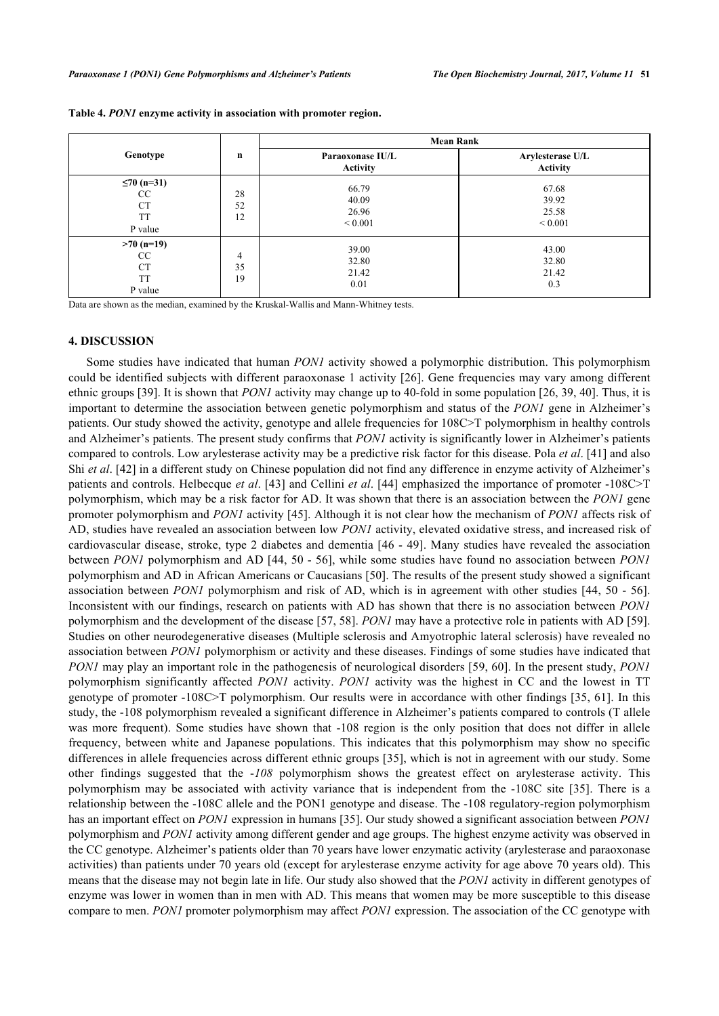| Genotype                                                |                | <b>Mean Rank</b>                        |                                         |  |  |  |
|---------------------------------------------------------|----------------|-----------------------------------------|-----------------------------------------|--|--|--|
|                                                         | $\mathbf n$    | Paraoxonase IU/L<br><b>Activity</b>     | Arylesterase U/L<br><b>Activity</b>     |  |  |  |
| $≤70(n=31)$<br>CC<br><b>CT</b><br><b>TT</b><br>P value  | 28<br>52<br>12 | 66.79<br>40.09<br>26.96<br>${}_{0.001}$ | 67.68<br>39.92<br>25.58<br>${}_{0.001}$ |  |  |  |
| $>70$ (n=19)<br>CC<br><b>CT</b><br><b>TT</b><br>P value | 4<br>35<br>19  | 39.00<br>32.80<br>21.42<br>0.01         | 43.00<br>32.80<br>21.42<br>0.3          |  |  |  |

<span id="page-4-0"></span>**Table 4.** *PON1* **enzyme activity in association with promoter region.**

Data are shown as the median, examined by the Kruskal-Wallis and Mann-Whitney tests.

#### **4. DISCUSSION**

Some studies have indicated that human *PON1* activity showed a polymorphic distribution. This polymorphism could be identified subjects with different paraoxonase 1 activity [\[26](#page-6-10)]. Gene frequencies may vary among different ethnic groups [\[39](#page-7-6)]. It is shown that *PON1* activity may change up to 40-fold in some population [[26,](#page-6-10) [39,](#page-7-6) [40](#page-7-7)]. Thus, it is important to determine the association between genetic polymorphism and status of the *PON1* gene in Alzheimer's patients. Our study showed the activity, genotype and allele frequencies for 108C>T polymorphism in healthy controls and Alzheimer's patients. The present study confirms that *PON1* activity is significantly lower in Alzheimer's patients compared to controls. Low arylesterase activity may be a predictive risk factor for this disease. Pola *et al*. [\[41](#page-7-8)] and also Shi *et al*. [\[42](#page-7-9)] in a different study on Chinese population did not find any difference in enzyme activity of Alzheimer's patients and controls. Helbecque *et al*. [[43\]](#page-7-10) and Cellini *et al*. [\[44](#page-7-11)] emphasized the importance of promoter -108C>T polymorphism, which may be a risk factor for AD. It was shown that there is an association between the *PON1* gene promoter polymorphism and *PON1* activity [\[45\]](#page-7-12). Although it is not clear how the mechanism of *PON1* affects risk of AD, studies have revealed an association between low *PON1* activity, elevated oxidative stress, and increased risk of cardiovascular disease, stroke, type 2 diabetes and dementia [\[46](#page-7-13) - [49](#page-8-0)]. Many studies have revealed the association between *PON1* polymorphism and AD [[44](#page-7-11), [50](#page-8-1) - [56\]](#page-8-2), while some studies have found no association between *PON1* polymorphism and AD in African Americans or Caucasians [\[50](#page-8-1)]. The results of the present study showed a significant association between *PON1* polymorphism and risk of AD, which is in agreement with other studies [[44](#page-7-11), [50](#page-8-1) - [56\]](#page-8-2). Inconsistent with our findings, research on patients with AD has shown that there is no association between *PON1* polymorphism and the development of the disease [[57,](#page-8-3) [58](#page-8-4)]. *PON1* may have a protective role in patients with AD [[59\]](#page-8-5). Studies on other neurodegenerative diseases (Multiple sclerosis and Amyotrophic lateral sclerosis) have revealed no association between *PON1* polymorphism or activity and these diseases. Findings of some studies have indicated that *PON1* may play an important role in the pathogenesis of neurological disorders [\[59,](#page-8-5) [60](#page-8-6)]. In the present study, *PON1* polymorphism significantly affected *PON1* activity. *PON1* activity was the highest in CC and the lowest in TT genotype of promoter -108C>T polymorphism. Our results were in accordance with other findings [[35](#page-7-14), [61\]](#page-8-7). In this study, the -108 polymorphism revealed a significant difference in Alzheimer's patients compared to controls (T allele was more frequent). Some studies have shown that  $-108$  region is the only position that does not differ in allele frequency, between white and Japanese populations. This indicates that this polymorphism may show no specific differences in allele frequencies across different ethnic groups [[35\]](#page-7-14), which is not in agreement with our study. Some other findings suggested that the -*108* polymorphism shows the greatest effect on arylesterase activity. This polymorphism may be associated with activity variance that is independent from the -108C site[[35](#page-7-14)]. There is a relationship between the -108C allele and the PON1 genotype and disease. The -108 regulatory-region polymorphism has an important effect on *PON1* expression in humans [[35\]](#page-7-14). Our study showed a significant association between *PON1* polymorphism and *PON1* activity among different gender and age groups. The highest enzyme activity was observed in the CC genotype. Alzheimer's patients older than 70 years have lower enzymatic activity (arylesterase and paraoxonase activities) than patients under 70 years old (except for arylesterase enzyme activity for age above 70 years old). This means that the disease may not begin late in life. Our study also showed that the *PON1* activity in different genotypes of enzyme was lower in women than in men with AD. This means that women may be more susceptible to this disease compare to men. *PON1* promoter polymorphism may affect *PON1* expression. The association of the CC genotype with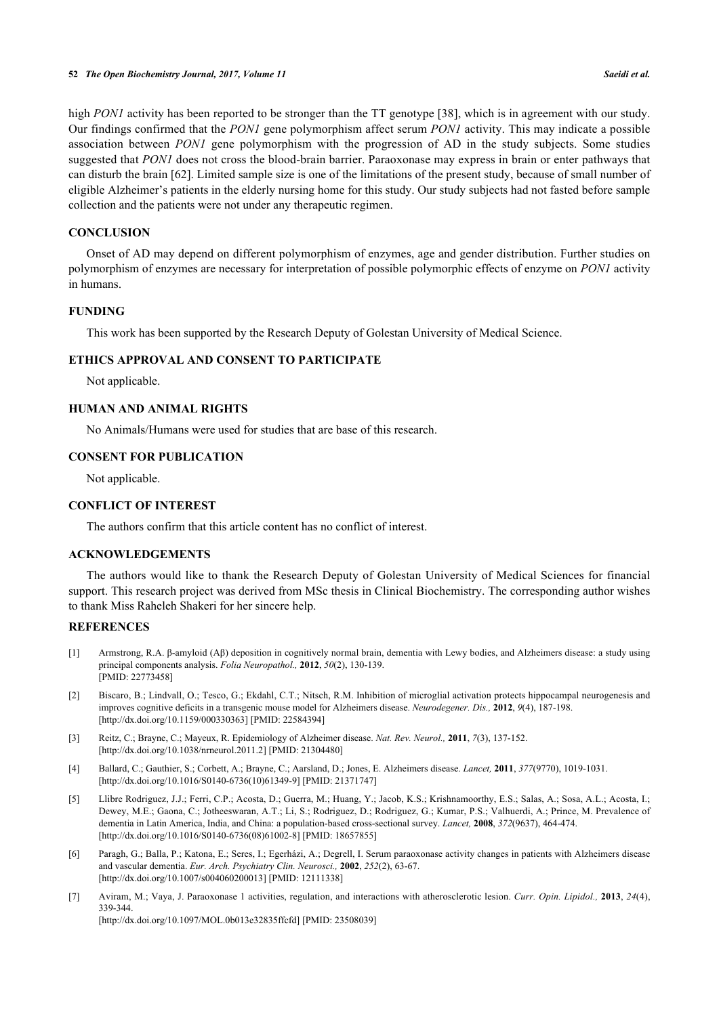high *PON1* activity has been reported to be stronger than the TT genotype [[38\]](#page-7-2), which is in agreement with our study. Our findings confirmed that the *PON1* gene polymorphism affect serum *PON1* activity. This may indicate a possible association between *PON1* gene polymorphism with the progression of AD in the study subjects. Some studies suggested that *PON1* does not cross the blood-brain barrier. Paraoxonase may express in brain or enter pathways that can disturb the brain [[62\]](#page-8-8). Limited sample size is one of the limitations of the present study, because of small number of eligible Alzheimer's patients in the elderly nursing home for this study. Our study subjects had not fasted before sample collection and the patients were not under any therapeutic regimen.

# **CONCLUSION**

Onset of AD may depend on different polymorphism of enzymes, age and gender distribution. Further studies on polymorphism of enzymes are necessary for interpretation of possible polymorphic effects of enzyme on *PON1* activity in humans.

#### **FUNDING**

This work has been supported by the Research Deputy of Golestan University of Medical Science.

#### **ETHICS APPROVAL AND CONSENT TO PARTICIPATE**

Not applicable.

# **HUMAN AND ANIMAL RIGHTS**

No Animals/Humans were used for studies that are base of this research.

#### **CONSENT FOR PUBLICATION**

Not applicable.

#### **CONFLICT OF INTEREST**

The authors confirm that this article content has no conflict of interest.

# **ACKNOWLEDGEMENTS**

The authors would like to thank the Research Deputy of Golestan University of Medical Sciences for financial support. This research project was derived from MSc thesis in Clinical Biochemistry. The corresponding author wishes to thank Miss Raheleh Shakeri for her sincere help.

#### **REFERENCES**

- <span id="page-5-0"></span>[1] Armstrong, R.A. β-amyloid (Aβ) deposition in cognitively normal brain, dementia with Lewy bodies, and Alzheimers disease: a study using principal components analysis. *Folia Neuropathol.,* **2012**, *50*(2), 130-139. [PMID: [22773458\]](http://www.ncbi.nlm.nih.gov/pubmed/22773458)
- <span id="page-5-1"></span>[2] Biscaro, B.; Lindvall, O.; Tesco, G.; Ekdahl, C.T.; Nitsch, R.M. Inhibition of microglial activation protects hippocampal neurogenesis and improves cognitive deficits in a transgenic mouse model for Alzheimers disease. *Neurodegener. Dis.,* **2012**, *9*(4), 187-198. [\[http://dx.doi.org/10.1159/000330363\]](http://dx.doi.org/10.1159/000330363) [PMID: [22584394](http://www.ncbi.nlm.nih.gov/pubmed/22584394)]
- <span id="page-5-2"></span>[3] Reitz, C.; Brayne, C.; Mayeux, R. Epidemiology of Alzheimer disease. *Nat. Rev. Neurol.,* **2011**, *7*(3), 137-152. [\[http://dx.doi.org/10.1038/nrneurol.2011.2\]](http://dx.doi.org/10.1038/nrneurol.2011.2) [PMID: [21304480](http://www.ncbi.nlm.nih.gov/pubmed/21304480)]
- <span id="page-5-3"></span>[4] Ballard, C.; Gauthier, S.; Corbett, A.; Brayne, C.; Aarsland, D.; Jones, E. Alzheimers disease. *Lancet,* **2011**, *377*(9770), 1019-1031. [\[http://dx.doi.org/10.1016/S0140-6736\(10\)61349-9\]](http://dx.doi.org/10.1016/S0140-6736(10)61349-9) [PMID: [21371747](http://www.ncbi.nlm.nih.gov/pubmed/21371747)]
- <span id="page-5-4"></span>[5] Llibre Rodriguez, J.J.; Ferri, C.P.; Acosta, D.; Guerra, M.; Huang, Y.; Jacob, K.S.; Krishnamoorthy, E.S.; Salas, A.; Sosa, A.L.; Acosta, I.; Dewey, M.E.; Gaona, C.; Jotheeswaran, A.T.; Li, S.; Rodriguez, D.; Rodriguez, G.; Kumar, P.S.; Valhuerdi, A.; Prince, M. Prevalence of dementia in Latin America, India, and China: a population-based cross-sectional survey. *Lancet,* **2008**, *372*(9637), 464-474. [\[http://dx.doi.org/10.1016/S0140-6736\(08\)61002-8\]](http://dx.doi.org/10.1016/S0140-6736(08)61002-8) [PMID: [18657855](http://www.ncbi.nlm.nih.gov/pubmed/18657855)]
- <span id="page-5-5"></span>[6] Paragh, G.; Balla, P.; Katona, E.; Seres, I.; Egerházi, A.; Degrell, I. Serum paraoxonase activity changes in patients with Alzheimers disease and vascular dementia. *Eur. Arch. Psychiatry Clin. Neurosci.,* **2002**, *252*(2), 63-67. [\[http://dx.doi.org/10.1007/s004060200013\]](http://dx.doi.org/10.1007/s004060200013) [PMID: [12111338](http://www.ncbi.nlm.nih.gov/pubmed/12111338)]
- <span id="page-5-6"></span>[7] Aviram, M.; Vaya, J. Paraoxonase 1 activities, regulation, and interactions with atherosclerotic lesion. *Curr. Opin. Lipidol.,* **2013**, *24*(4), 339-344. [\[http://dx.doi.org/10.1097/MOL.0b013e32835ffcfd\]](http://dx.doi.org/10.1097/MOL.0b013e32835ffcfd) [PMID: [23508039](http://www.ncbi.nlm.nih.gov/pubmed/23508039)]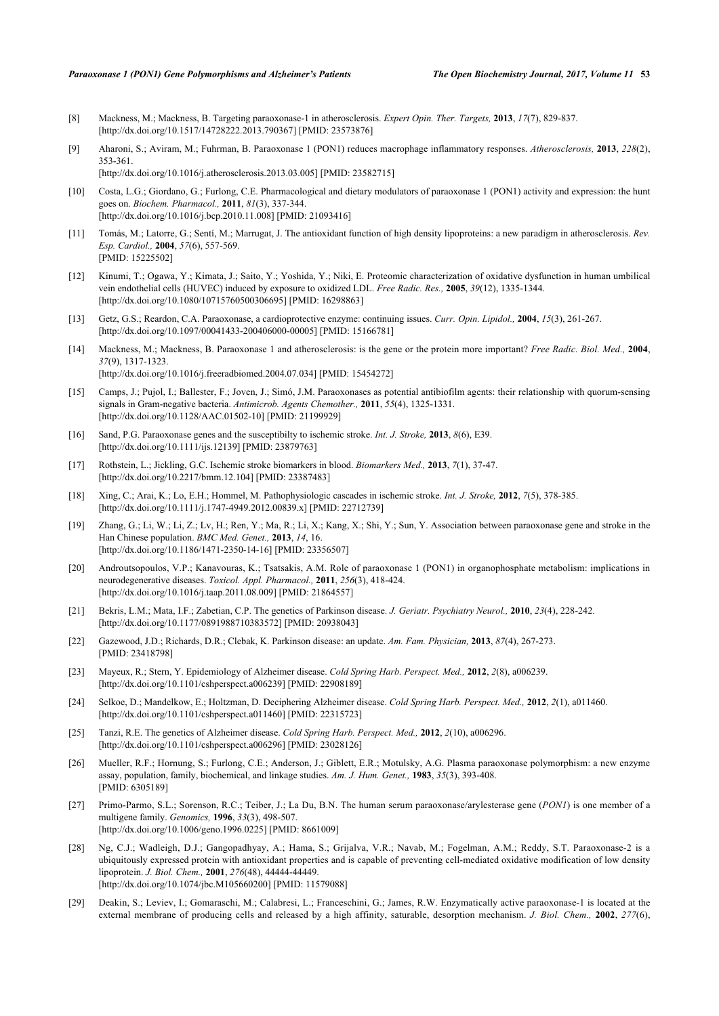- [8] Mackness, M.; Mackness, B. Targeting paraoxonase-1 in atherosclerosis. *Expert Opin. Ther. Targets,* **2013**, *17*(7), 829-837. [\[http://dx.doi.org/10.1517/14728222.2013.790367\]](http://dx.doi.org/10.1517/14728222.2013.790367) [PMID: [23573876](http://www.ncbi.nlm.nih.gov/pubmed/23573876)]
- [9] Aharoni, S.; Aviram, M.; Fuhrman, B. Paraoxonase 1 (PON1) reduces macrophage inflammatory responses. *Atherosclerosis,* **2013**, *228*(2), 353-361.
	- [\[http://dx.doi.org/10.1016/j.atherosclerosis.2013.03.005\]](http://dx.doi.org/10.1016/j.atherosclerosis.2013.03.005) [PMID: [23582715](http://www.ncbi.nlm.nih.gov/pubmed/23582715)]
- <span id="page-6-0"></span>[10] Costa, L.G.; Giordano, G.; Furlong, C.E. Pharmacological and dietary modulators of paraoxonase 1 (PON1) activity and expression: the hunt goes on. *Biochem. Pharmacol.,* **2011**, *81*(3), 337-344. [\[http://dx.doi.org/10.1016/j.bcp.2010.11.008\]](http://dx.doi.org/10.1016/j.bcp.2010.11.008) [PMID: [21093416](http://www.ncbi.nlm.nih.gov/pubmed/21093416)]
- <span id="page-6-1"></span>[11] Tomás, M.; Latorre, G.; Sentí, M.; Marrugat, J. The antioxidant function of high density lipoproteins: a new paradigm in atherosclerosis. *Rev. Esp. Cardiol.,* **2004**, *57*(6), 557-569. [PMID: [15225502\]](http://www.ncbi.nlm.nih.gov/pubmed/15225502)
- <span id="page-6-2"></span>[12] Kinumi, T.; Ogawa, Y.; Kimata, J.; Saito, Y.; Yoshida, Y.; Niki, E. Proteomic characterization of oxidative dysfunction in human umbilical vein endothelial cells (HUVEC) induced by exposure to oxidized LDL. *Free Radic. Res.,* **2005**, *39*(12), 1335-1344. [\[http://dx.doi.org/10.1080/10715760500306695\]](http://dx.doi.org/10.1080/10715760500306695) [PMID: [16298863](http://www.ncbi.nlm.nih.gov/pubmed/16298863)]
- <span id="page-6-3"></span>[13] Getz, G.S.; Reardon, C.A. Paraoxonase, a cardioprotective enzyme: continuing issues. *Curr. Opin. Lipidol.,* **2004**, *15*(3), 261-267. [\[http://dx.doi.org/10.1097/00041433-200406000-00005](http://dx.doi.org/10.1097/00041433-200406000-00005)] [PMID: [15166781\]](http://www.ncbi.nlm.nih.gov/pubmed/15166781)
- <span id="page-6-4"></span>[14] Mackness, M.; Mackness, B. Paraoxonase 1 and atherosclerosis: is the gene or the protein more important? *Free Radic. Biol. Med.,* **2004**, *37*(9), 1317-1323. [\[http://dx.doi.org/10.1016/j.freeradbiomed.2004.07.034\]](http://dx.doi.org/10.1016/j.freeradbiomed.2004.07.034) [PMID: [15454272](http://www.ncbi.nlm.nih.gov/pubmed/15454272)]
- <span id="page-6-5"></span>[15] Camps, J.; Pujol, I.; Ballester, F.; Joven, J.; Simó, J.M. Paraoxonases as potential antibiofilm agents: their relationship with quorum-sensing signals in Gram-negative bacteria. *Antimicrob. Agents Chemother.,* **2011**, *55*(4), 1325-1331. [\[http://dx.doi.org/10.1128/AAC.01502-10](http://dx.doi.org/10.1128/AAC.01502-10)] [PMID: [21199929\]](http://www.ncbi.nlm.nih.gov/pubmed/21199929)
- <span id="page-6-6"></span>[16] Sand, P.G. Paraoxonase genes and the susceptibilty to ischemic stroke. *Int. J. Stroke,* **2013**, *8*(6), E39. [\[http://dx.doi.org/10.1111/ijs.12139](http://dx.doi.org/10.1111/ijs.12139)] [PMID: [23879763\]](http://www.ncbi.nlm.nih.gov/pubmed/23879763)
- [17] Rothstein, L.; Jickling, G.C. Ischemic stroke biomarkers in blood. *Biomarkers Med.,* **2013**, *7*(1), 37-47. [\[http://dx.doi.org/10.2217/bmm.12.104](http://dx.doi.org/10.2217/bmm.12.104)] [PMID: [23387483\]](http://www.ncbi.nlm.nih.gov/pubmed/23387483)
- <span id="page-6-7"></span>[18] Xing, C.; Arai, K.; Lo, E.H.; Hommel, M. Pathophysiologic cascades in ischemic stroke. *Int. J. Stroke,* **2012**, *7*(5), 378-385. [\[http://dx.doi.org/10.1111/j.1747-4949.2012.00839.x\]](http://dx.doi.org/10.1111/j.1747-4949.2012.00839.x) [PMID: [22712739](http://www.ncbi.nlm.nih.gov/pubmed/22712739)]
- <span id="page-6-8"></span>[19] Zhang, G.; Li, W.; Li, Z.; Lv, H.; Ren, Y.; Ma, R.; Li, X.; Kang, X.; Shi, Y.; Sun, Y. Association between paraoxonase gene and stroke in the Han Chinese population. *BMC Med. Genet.,* **2013**, *14*, 16. [\[http://dx.doi.org/10.1186/1471-2350-14-16\]](http://dx.doi.org/10.1186/1471-2350-14-16) [PMID: [23356507](http://www.ncbi.nlm.nih.gov/pubmed/23356507)]
- [20] Androutsopoulos, V.P.; Kanavouras, K.; Tsatsakis, A.M. Role of paraoxonase 1 (PON1) in organophosphate metabolism: implications in neurodegenerative diseases. *Toxicol. Appl. Pharmacol.,* **2011**, *256*(3), 418-424. [\[http://dx.doi.org/10.1016/j.taap.2011.08.009](http://dx.doi.org/10.1016/j.taap.2011.08.009)] [PMID: [21864557\]](http://www.ncbi.nlm.nih.gov/pubmed/21864557)
- <span id="page-6-14"></span>[21] Bekris, L.M.; Mata, I.F.; Zabetian, C.P. The genetics of Parkinson disease. *J. Geriatr. Psychiatry Neurol.,* **2010**, *23*(4), 228-242. [\[http://dx.doi.org/10.1177/0891988710383572\]](http://dx.doi.org/10.1177/0891988710383572) [PMID: [20938043](http://www.ncbi.nlm.nih.gov/pubmed/20938043)]
- [22] Gazewood, J.D.; Richards, D.R.; Clebak, K. Parkinson disease: an update. *Am. Fam. Physician,* **2013**, *87*(4), 267-273. [PMID: [23418798\]](http://www.ncbi.nlm.nih.gov/pubmed/23418798)
- [23] Mayeux, R.; Stern, Y. Epidemiology of Alzheimer disease. *Cold Spring Harb. Perspect. Med.,* **2012**, *2*(8), a006239. [\[http://dx.doi.org/10.1101/cshperspect.a006239\]](http://dx.doi.org/10.1101/cshperspect.a006239) [PMID: [22908189](http://www.ncbi.nlm.nih.gov/pubmed/22908189)]
- [24] Selkoe, D.; Mandelkow, E.; Holtzman, D. Deciphering Alzheimer disease. *Cold Spring Harb. Perspect. Med.,* **2012**, *2*(1), a011460. [\[http://dx.doi.org/10.1101/cshperspect.a011460\]](http://dx.doi.org/10.1101/cshperspect.a011460) [PMID: [22315723](http://www.ncbi.nlm.nih.gov/pubmed/22315723)]
- <span id="page-6-9"></span>[25] Tanzi, R.E. The genetics of Alzheimer disease. *Cold Spring Harb. Perspect. Med.,* **2012**, *2*(10), a006296. [\[http://dx.doi.org/10.1101/cshperspect.a006296\]](http://dx.doi.org/10.1101/cshperspect.a006296) [PMID: [23028126](http://www.ncbi.nlm.nih.gov/pubmed/23028126)]
- <span id="page-6-10"></span>[26] Mueller, R.F.; Hornung, S.; Furlong, C.E.; Anderson, J.; Giblett, E.R.; Motulsky, A.G. Plasma paraoxonase polymorphism: a new enzyme assay, population, family, biochemical, and linkage studies. *Am. J. Hum. Genet.,* **1983**, *35*(3), 393-408. [PMID: [6305189\]](http://www.ncbi.nlm.nih.gov/pubmed/6305189)
- <span id="page-6-11"></span>[27] Primo-Parmo, S.L.; Sorenson, R.C.; Teiber, J.; La Du, B.N. The human serum paraoxonase/arylesterase gene (*PON1*) is one member of a multigene family. *Genomics,* **1996**, *33*(3), 498-507. [\[http://dx.doi.org/10.1006/geno.1996.0225](http://dx.doi.org/10.1006/geno.1996.0225)] [PMID: [8661009\]](http://www.ncbi.nlm.nih.gov/pubmed/8661009)
- <span id="page-6-12"></span>[28] Ng, C.J.; Wadleigh, D.J.; Gangopadhyay, A.; Hama, S.; Grijalva, V.R.; Navab, M.; Fogelman, A.M.; Reddy, S.T. Paraoxonase-2 is a ubiquitously expressed protein with antioxidant properties and is capable of preventing cell-mediated oxidative modification of low density lipoprotein. *J. Biol. Chem.,* **2001**, *276*(48), 44444-44449. [\[http://dx.doi.org/10.1074/jbc.M105660200\]](http://dx.doi.org/10.1074/jbc.M105660200) [PMID: [11579088](http://www.ncbi.nlm.nih.gov/pubmed/11579088)]
- <span id="page-6-13"></span>[29] Deakin, S.; Leviev, I.; Gomaraschi, M.; Calabresi, L.; Franceschini, G.; James, R.W. Enzymatically active paraoxonase-1 is located at the external membrane of producing cells and released by a high affinity, saturable, desorption mechanism. *J. Biol. Chem.,* **2002**, *277*(6),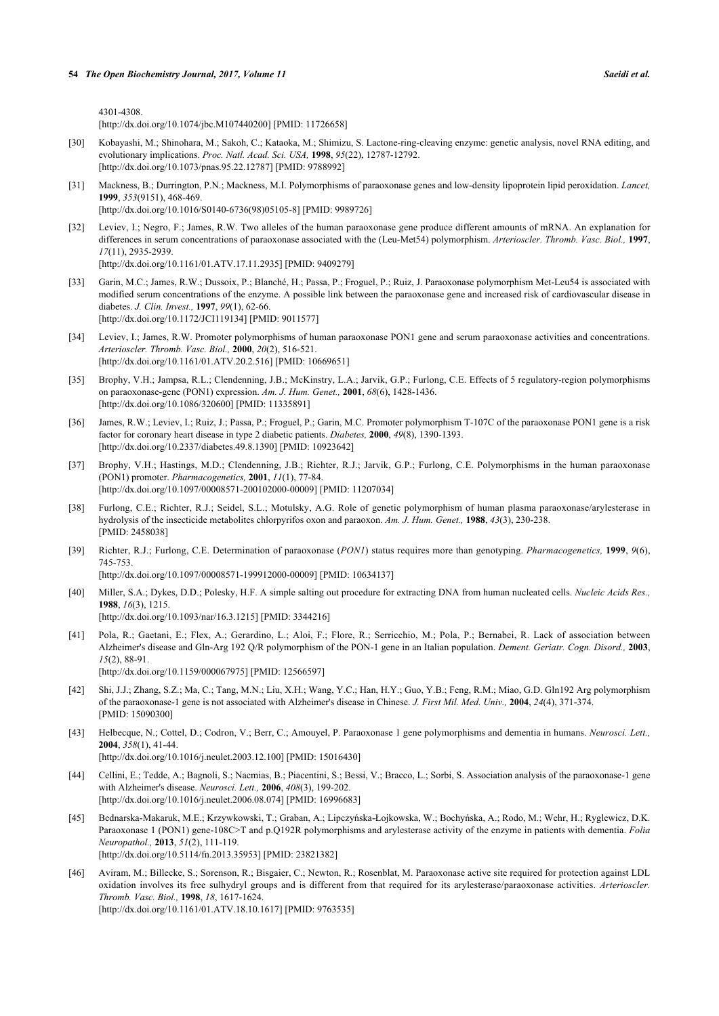4301-4308.

[\[http://dx.doi.org/10.1074/jbc.M107440200\]](http://dx.doi.org/10.1074/jbc.M107440200) [PMID: [11726658](http://www.ncbi.nlm.nih.gov/pubmed/11726658)]

- <span id="page-7-0"></span>[30] Kobayashi, M.; Shinohara, M.; Sakoh, C.; Kataoka, M.; Shimizu, S. Lactone-ring-cleaving enzyme: genetic analysis, novel RNA editing, and evolutionary implications. *Proc. Natl. Acad. Sci. USA,* **1998**, *95*(22), 12787-12792. [\[http://dx.doi.org/10.1073/pnas.95.22.12787](http://dx.doi.org/10.1073/pnas.95.22.12787)] [PMID: [9788992](http://www.ncbi.nlm.nih.gov/pubmed/9788992)]
- <span id="page-7-1"></span>[31] Mackness, B.; Durrington, P.N.; Mackness, M.I. Polymorphisms of paraoxonase genes and low-density lipoprotein lipid peroxidation. *Lancet,* **1999**, *353*(9151), 468-469. [\[http://dx.doi.org/10.1016/S0140-6736\(98\)05105-8\]](http://dx.doi.org/10.1016/S0140-6736(98)05105-8) [PMID: [9989726](http://www.ncbi.nlm.nih.gov/pubmed/9989726)]
- <span id="page-7-3"></span>[32] Leviev, I.; Negro, F.; James, R.W. Two alleles of the human paraoxonase gene produce different amounts of mRNA. An explanation for differences in serum concentrations of paraoxonase associated with the (Leu-Met54) polymorphism. *Arterioscler. Thromb. Vasc. Biol.,* **1997**, *17*(11), 2935-2939.

[\[http://dx.doi.org/10.1161/01.ATV.17.11.2935](http://dx.doi.org/10.1161/01.ATV.17.11.2935)] [PMID: [9409279\]](http://www.ncbi.nlm.nih.gov/pubmed/9409279)

- <span id="page-7-4"></span>[33] Garin, M.C.; James, R.W.; Dussoix, P.; Blanché, H.; Passa, P.; Froguel, P.; Ruiz, J. Paraoxonase polymorphism Met-Leu54 is associated with modified serum concentrations of the enzyme. A possible link between the paraoxonase gene and increased risk of cardiovascular disease in diabetes. *J. Clin. Invest.,* **1997**, *99*(1), 62-66. [\[http://dx.doi.org/10.1172/JCI119134\]](http://dx.doi.org/10.1172/JCI119134) [PMID: [9011577](http://www.ncbi.nlm.nih.gov/pubmed/9011577)]
- <span id="page-7-5"></span>[34] Leviev, I.; James, R.W. Promoter polymorphisms of human paraoxonase PON1 gene and serum paraoxonase activities and concentrations. *Arterioscler. Thromb. Vasc. Biol.,* **2000**, *20*(2), 516-521. [\[http://dx.doi.org/10.1161/01.ATV.20.2.516](http://dx.doi.org/10.1161/01.ATV.20.2.516)] [PMID: [10669651\]](http://www.ncbi.nlm.nih.gov/pubmed/10669651)
- <span id="page-7-14"></span>[35] Brophy, V.H.; Jampsa, R.L.; Clendenning, J.B.; McKinstry, L.A.; Jarvik, G.P.; Furlong, C.E. Effects of 5 regulatory-region polymorphisms on paraoxonase-gene (PON1) expression. *Am. J. Hum. Genet.,* **2001**, *68*(6), 1428-1436. [\[http://dx.doi.org/10.1086/320600\]](http://dx.doi.org/10.1086/320600) [PMID: [11335891](http://www.ncbi.nlm.nih.gov/pubmed/11335891)]
- [36] James, R.W.; Leviev, I.; Ruiz, J.; Passa, P.; Froguel, P.; Garin, M.C. Promoter polymorphism T-107C of the paraoxonase PON1 gene is a risk factor for coronary heart disease in type 2 diabetic patients. *Diabetes,* **2000**, *49*(8), 1390-1393. [\[http://dx.doi.org/10.2337/diabetes.49.8.1390](http://dx.doi.org/10.2337/diabetes.49.8.1390)] [PMID: [10923642\]](http://www.ncbi.nlm.nih.gov/pubmed/10923642)
- [37] Brophy, V.H.; Hastings, M.D.; Clendenning, J.B.; Richter, R.J.; Jarvik, G.P.; Furlong, C.E. Polymorphisms in the human paraoxonase (PON1) promoter. *Pharmacogenetics,* **2001**, *11*(1), 77-84. [\[http://dx.doi.org/10.1097/00008571-200102000-00009](http://dx.doi.org/10.1097/00008571-200102000-00009)] [PMID: [11207034\]](http://www.ncbi.nlm.nih.gov/pubmed/11207034)
- <span id="page-7-2"></span>[38] Furlong, C.E.; Richter, R.J.; Seidel, S.L.; Motulsky, A.G. Role of genetic polymorphism of human plasma paraoxonase/arylesterase in hydrolysis of the insecticide metabolites chlorpyrifos oxon and paraoxon. *Am. J. Hum. Genet.,* **1988**, *43*(3), 230-238. [PMID: [2458038\]](http://www.ncbi.nlm.nih.gov/pubmed/2458038)
- <span id="page-7-6"></span>[39] Richter, R.J.; Furlong, C.E. Determination of paraoxonase (*PON1*) status requires more than genotyping. *Pharmacogenetics,* **1999**, *9*(6), 745-753. [\[http://dx.doi.org/10.1097/00008571-199912000-00009](http://dx.doi.org/10.1097/00008571-199912000-00009)] [PMID: [10634137\]](http://www.ncbi.nlm.nih.gov/pubmed/10634137)
- 
- <span id="page-7-7"></span>[40] Miller, S.A.; Dykes, D.D.; Polesky, H.F. A simple salting out procedure for extracting DNA from human nucleated cells. *Nucleic Acids Res.,* **1988**, *16*(3), 1215. [\[http://dx.doi.org/10.1093/nar/16.3.1215](http://dx.doi.org/10.1093/nar/16.3.1215)] [PMID: [3344216\]](http://www.ncbi.nlm.nih.gov/pubmed/3344216)
- <span id="page-7-8"></span>[41] Pola, R.; Gaetani, E.; Flex, A.; Gerardino, L.; Aloi, F.; Flore, R.; Serricchio, M.; Pola, P.; Bernabei, R. Lack of association between Alzheimer's disease and Gln-Arg 192 Q/R polymorphism of the PON-1 gene in an Italian population. *Dement. Geriatr. Cogn. Disord.,* **2003**, *15*(2), 88-91. [\[http://dx.doi.org/10.1159/000067975\]](http://dx.doi.org/10.1159/000067975) [PMID: [12566597](http://www.ncbi.nlm.nih.gov/pubmed/12566597)]
- <span id="page-7-9"></span>[42] Shi, J.J.; Zhang, S.Z.; Ma, C.; Tang, M.N.; Liu, X.H.; Wang, Y.C.; Han, H.Y.; Guo, Y.B.; Feng, R.M.; Miao, G.D. Gln192 Arg polymorphism of the paraoxonase-1 gene is not associated with Alzheimer's disease in Chinese. *J. First Mil. Med. Univ.,* **2004**, *24*(4), 371-374. [PMID: [15090300\]](http://www.ncbi.nlm.nih.gov/pubmed/15090300)
- <span id="page-7-10"></span>[43] Helbecque, N.; Cottel, D.; Codron, V.; Berr, C.; Amouyel, P. Paraoxonase 1 gene polymorphisms and dementia in humans. *Neurosci. Lett.,* **2004**, *358*(1), 41-44. [\[http://dx.doi.org/10.1016/j.neulet.2003.12.100\]](http://dx.doi.org/10.1016/j.neulet.2003.12.100) [PMID: [15016430](http://www.ncbi.nlm.nih.gov/pubmed/15016430)]
- <span id="page-7-11"></span>[44] Cellini, E.; Tedde, A.; Bagnoli, S.; Nacmias, B.; Piacentini, S.; Bessi, V.; Bracco, L.; Sorbi, S. Association analysis of the paraoxonase-1 gene with Alzheimer's disease. *Neurosci. Lett.,* **2006**, *408*(3), 199-202. [\[http://dx.doi.org/10.1016/j.neulet.2006.08.074\]](http://dx.doi.org/10.1016/j.neulet.2006.08.074) [PMID: [16996683](http://www.ncbi.nlm.nih.gov/pubmed/16996683)]
- <span id="page-7-12"></span>[45] Bednarska-Makaruk, M.E.; Krzywkowski, T.; Graban, A.; Lipczyńska-Łojkowska, W.; Bochyńska, A.; Rodo, M.; Wehr, H.; Ryglewicz, D.K. Paraoxonase 1 (PON1) gene-108C>T and p.Q192R polymorphisms and arylesterase activity of the enzyme in patients with dementia. *Folia Neuropathol.,* **2013**, *51*(2), 111-119. [\[http://dx.doi.org/10.5114/fn.2013.35953](http://dx.doi.org/10.5114/fn.2013.35953)] [PMID: [23821382](http://www.ncbi.nlm.nih.gov/pubmed/23821382)]
- <span id="page-7-13"></span>[46] Aviram, M.; Billecke, S.; Sorenson, R.; Bisgaier, C.; Newton, R.; Rosenblat, M. Paraoxonase active site required for protection against LDL oxidation involves its free sulhydryl groups and is different from that required for its arylesterase/paraoxonase activities. *Arterioscler. Thromb. Vasc. Biol.,* **1998**, *18*, 1617-1624. [\[http://dx.doi.org/10.1161/01.ATV.18.10.1617](http://dx.doi.org/10.1161/01.ATV.18.10.1617)] [PMID: [9763535\]](http://www.ncbi.nlm.nih.gov/pubmed/9763535)